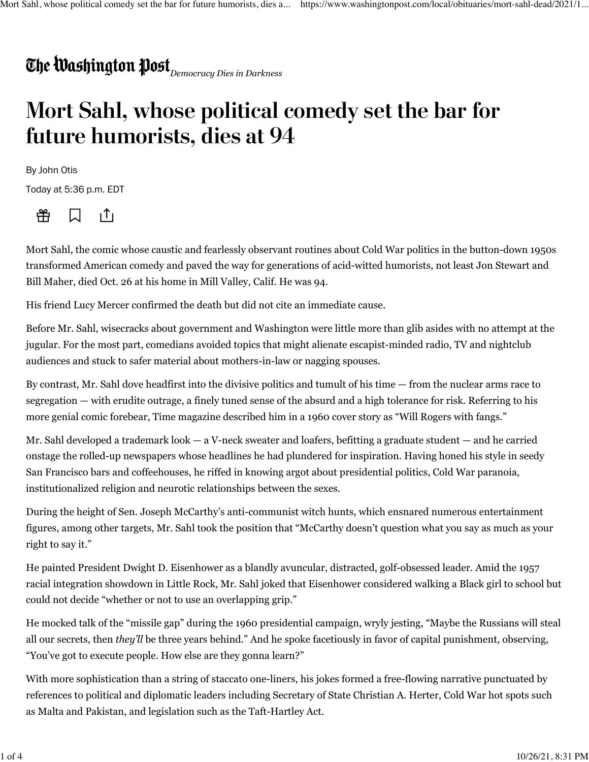## *Democracy Dies in Darkness*

## **Mort Sahl, whose political comedy set the bar for future humorists, dies at 94**

By John Otis

Today at 5:36 p.m. EDT



 $|T|$ 

Mort Sahl, the comic whose caustic and fearlessly observant routines about Cold War politics in the button-down 1950s transformed American comedy and paved the way for generations of acid-witted humorists, not least Jon Stewart and Bill Maher, died Oct. 26 at his home in Mill Valley, Calif. He was 94.

His friend Lucy Mercer confirmed the death but did not cite an immediate cause.

Before Mr. Sahl, wisecracks about government and Washington were little more than glib asides with no attempt at the jugular. For the most part, comedians avoided topics that might alienate escapist-minded radio, TV and nightclub audiences and stuck to safer material about mothers-in-law or nagging spouses.

By contrast, Mr. Sahl dove headfirst into the divisive politics and tumult of his time — from the nuclear arms race to segregation — with erudite outrage, a finely tuned sense of the absurd and a high tolerance for risk. Referring to his more genial comic forebear, Time magazine described him in a 1960 cover story as "Will Rogers with fangs."

Mr. Sahl developed a trademark look — a V-neck sweater and loafers, befitting a graduate student — and he carried onstage the rolled-up newspapers whose headlines he had plundered for inspiration. Having honed his style in seedy San Francisco bars and coffeehouses, he riffed in knowing argot about presidential politics, Cold War paranoia, institutionalized religion and neurotic relationships between the sexes.

During the height of Sen. Joseph McCarthy's anti-communist witch hunts, which ensnared numerous entertainment figures, among other targets, Mr. Sahl took the position that "McCarthy doesn't question what you say as much as your right to say it."

He painted President Dwight D. Eisenhower as a blandly avuncular, distracted, golf-obsessed leader. Amid the 1957 racial integration showdown in Little Rock, Mr. Sahl joked that Eisenhower considered walking a Black girl to school but could not decide "whether or not to use an overlapping grip."

He mocked talk of the "missile gap" during the 1960 presidential campaign, wryly jesting, "Maybe the Russians will steal all our secrets, then *they'll* be three years behind." And he spoke facetiously in favor of capital punishment, observing, "You've got to execute people. How else are they gonna learn?"

With more sophistication than a string of staccato one-liners, his jokes formed a free-flowing narrative punctuated by references to political and diplomatic leaders including Secretary of State Christian A. Herter, Cold War hot spots such as Malta and Pakistan, and legislation such as the Taft-Hartley Act.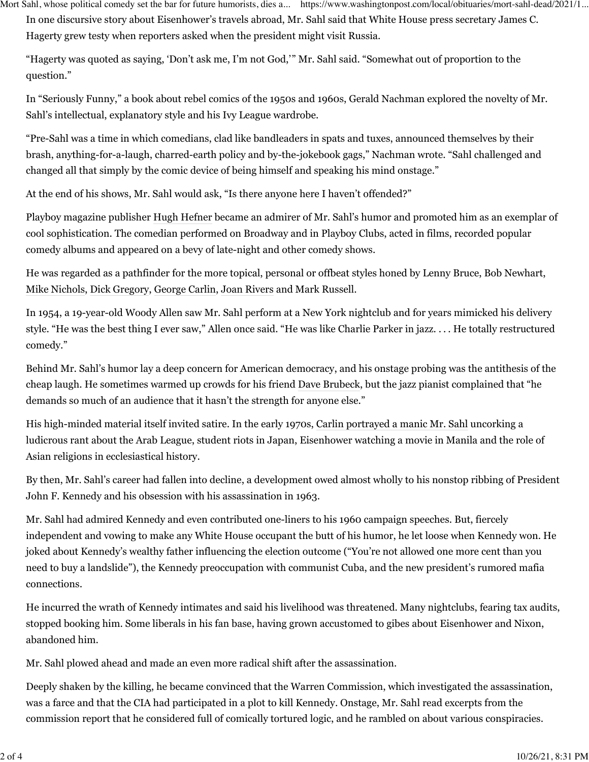Mort Sahl, whose political comedy set the bar for future humorists, dies a... https://www.washingtonpost.com/local/obituaries/mort-sahl-dead/2021/1...

In one discursive story about Eisenhower's travels abroad, Mr. Sahl said that White House press secretary James C. Hagerty grew testy when reporters asked when the president might visit Russia.

"Hagerty was quoted as saying, 'Don't ask me, I'm not God,'" Mr. Sahl said. "Somewhat out of proportion to the question."

In "Seriously Funny," a book about rebel comics of the 1950s and 1960s, Gerald Nachman explored the novelty of Mr. Sahl's intellectual, explanatory style and his Ivy League wardrobe.

"Pre-Sahl was a time in which comedians, clad like bandleaders in spats and tuxes, announced themselves by their brash, anything-for-a-laugh, charred-earth policy and by-the-jokebook gags," Nachman wrote. "Sahl challenged and changed all that simply by the comic device of being himself and speaking his mind onstage."

At the end of his shows, Mr. Sahl would ask, "Is there anyone here I haven't offended?"

Playboy magazine publisher [Hugh Hefner](https://www.washingtonpost.com/local/obituaries/hugh-hefner-founder-of-playboy-magazine-dies-at-91/2017/09/27/0560ae1a-a3fe-11e7-ade1-76d061d56efa_story.html?itid=lk_inline_manual_26) became an admirer of Mr. Sahl's humor and promoted him as an exemplar of cool sophistication. The comedian performed on Broadway and in Playboy Clubs, acted in films, recorded popular comedy albums and appeared on a bevy of late-night and other comedy shows.

He was regarded as a pathfinder for the more topical, personal or offbeat styles honed by Lenny Bruce, Bob Newhart, [Mike Nichols](https://www.washingtonpost.com/entertainment/mike-nichols-the-graduate-director-dies/2014/11/20/723d53e0-70c5-11e4-ad12-3734c461eab6_story.html?itid=lk_inline_manual_28), [Dick Gregory,](https://www.washingtonpost.com/local/obituaries/black-satirist-inspired-other-comics-with-expert-timing-bold-humor-and-political-comedy/2017/08/19/f9360e40-854f-11e7-902a-2a9f2d808496_story.html?itid=lk_inline_manual_28) [George Carlin,](https://www.washingtonpost.com/wp-dyn/content/article/2008/06/23/AR2008062300074.html?itid=lk_inline_manual_28) [Joan Rivers](https://www.washingtonpost.com/entertainment/celebrities/joan-rivers-comedian-who-skewered-everyone-including-herself-dies/2014/09/04/f033ed16-2ec8-11e4-9b98-848790384093_story.html?itid=lk_inline_manual_28) and Mark Russell.

In 1954, a 19-year-old Woody Allen saw Mr. Sahl perform at a New York nightclub and for years mimicked his delivery style. "He was the best thing I ever saw," Allen once said. "He was like Charlie Parker in jazz. . . . He totally restructured comedy."

Behind Mr. Sahl's humor lay a deep concern for American democracy, and his onstage probing was the antithesis of the cheap laugh. He sometimes warmed up crowds for his friend [Dave Brubeck](https://www.washingtonpost.com/local/obituaries/dave-brubeck-worldwide-ambassador-of-jazz-dies-at-91/2012/12/05/a9fa70e4-3959-11e0-bb8c-90acdd319fdd_story.html?itid=lk_inline_manual_31), but the jazz pianist complained that "he demands so much of an audience that it hasn't the strength for anyone else."

His high-minded material itself invited satire. In the early 1970s, [Carlin portrayed a manic Mr. Sahl](https://www.youtube.com/watch?v=rqrGN4y5RFE) uncorking a ludicrous rant about the Arab League, student riots in Japan, Eisenhower watching a movie in Manila and the role of Asian religions in ecclesiastical history.

By then, Mr. Sahl's career had fallen into decline, a development owed almost wholly to his nonstop ribbing of President John F. Kennedy and his obsession with his assassination in 1963.

Mr. Sahl had admired Kennedy and even contributed one-liners to his 1960 campaign speeches. But, fiercely independent and vowing to make any White House occupant the butt of his humor, he let loose when Kennedy won. He joked about Kennedy's wealthy father influencing the election outcome ("You're not allowed one more cent than you need to buy a landslide"), the Kennedy preoccupation with communist Cuba, and the new president's rumored mafia connections.

He incurred the wrath of Kennedy intimates and said his livelihood was threatened. Many nightclubs, fearing tax audits, stopped booking him. Some liberals in his fan base, having grown accustomed to gibes about Eisenhower and Nixon, abandoned him.

Mr. Sahl plowed ahead and made an even more radical shift after the assassination.

Deeply shaken by the killing, he became convinced that the Warren Commission, which investigated the assassination, was a farce and that the CIA had participated in a plot to kill Kennedy. Onstage, Mr. Sahl read excerpts from the commission report that he considered full of comically tortured logic, and he rambled on about various conspiracies.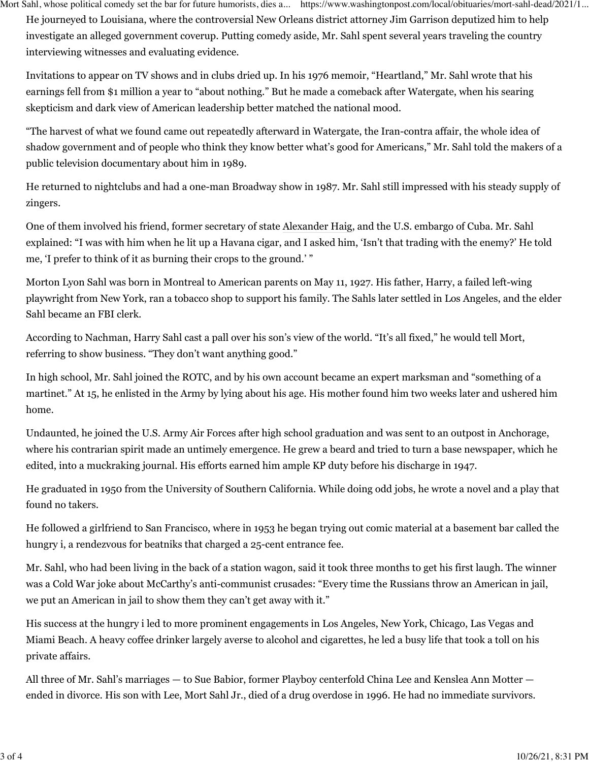He journeyed to Louisiana, where the controversial New Orleans district attorney Jim Garrison deputized him to help investigate an alleged government coverup. Putting comedy aside, Mr. Sahl spent several years traveling the country interviewing witnesses and evaluating evidence. Mort Sahl, whose political comedy set the bar for future humorists, dies a... https://www.washingtonpost.com/local/obituaries/mort-sahl-dead/2021/1...

Invitations to appear on TV shows and in clubs dried up. In his 1976 memoir, "Heartland," Mr. Sahl wrote that his earnings fell from \$1 million a year to "about nothing." But he made a comeback after Watergate, when his searing skepticism and dark view of American leadership better matched the national mood.

"The harvest of what we found came out repeatedly afterward in Watergate, the Iran-contra affair, the whole idea of shadow government and of people who think they know better what's good for Americans," Mr. Sahl told the makers of a public television documentary about him in 1989.

He returned to nightclubs and had a one-man Broadway show in 1987. Mr. Sahl still impressed with his steady supply of zingers.

One of them involved his friend, former secretary of state [Alexander Haig](https://www.washingtonpost.com/wp-dyn/content/article/2010/02/20/AR2010022001270.html?hpid=topnews&itid=lk_inline_manual_48), and the U.S. embargo of Cuba. Mr. Sahl explained: "I was with him when he lit up a Havana cigar, and I asked him, 'Isn't that trading with the enemy?' He told me, 'I prefer to think of it as burning their crops to the ground.' "

Morton Lyon Sahl was born in Montreal to American parents on May 11, 1927. His father, Harry, a failed left-wing playwright from New York, ran a tobacco shop to support his family. The Sahls later settled in Los Angeles, and the elder Sahl became an FBI clerk.

According to Nachman, Harry Sahl cast a pall over his son's view of the world. "It's all fixed," he would tell Mort, referring to show business. "They don't want anything good."

In high school, Mr. Sahl joined the ROTC, and by his own account became an expert marksman and "something of a martinet." At 15, he enlisted in the Army by lying about his age. His mother found him two weeks later and ushered him home.

Undaunted, he joined the U.S. Army Air Forces after high school graduation and was sent to an outpost in Anchorage, where his contrarian spirit made an untimely emergence. He grew a beard and tried to turn a base newspaper, which he edited, into a muckraking journal. His efforts earned him ample KP duty before his discharge in 1947.

He graduated in 1950 from the University of Southern California. While doing odd jobs, he wrote a novel and a play that found no takers.

He followed a girlfriend to San Francisco, where in 1953 he began trying out comic material at a basement bar called the hungry i, a rendezvous for beatniks that charged a 25-cent entrance fee.

Mr. Sahl, who had been living in the back of a station wagon, said it took three months to get his first laugh. The winner was a Cold War joke about McCarthy's anti-communist crusades: "Every time the Russians throw an American in jail, we put an American in jail to show them they can't get away with it."

His success at the hungry i led to more prominent engagements in Los Angeles, New York, Chicago, Las Vegas and Miami Beach. A heavy coffee drinker largely averse to alcohol and cigarettes, he led a busy life that took a toll on his private affairs.

All three of Mr. Sahl's marriages — to Sue Babior, former Playboy centerfold China Lee and Kenslea Ann Motter ended in divorce. His son with Lee, Mort Sahl Jr., died of a drug overdose in 1996. He had no immediate survivors.